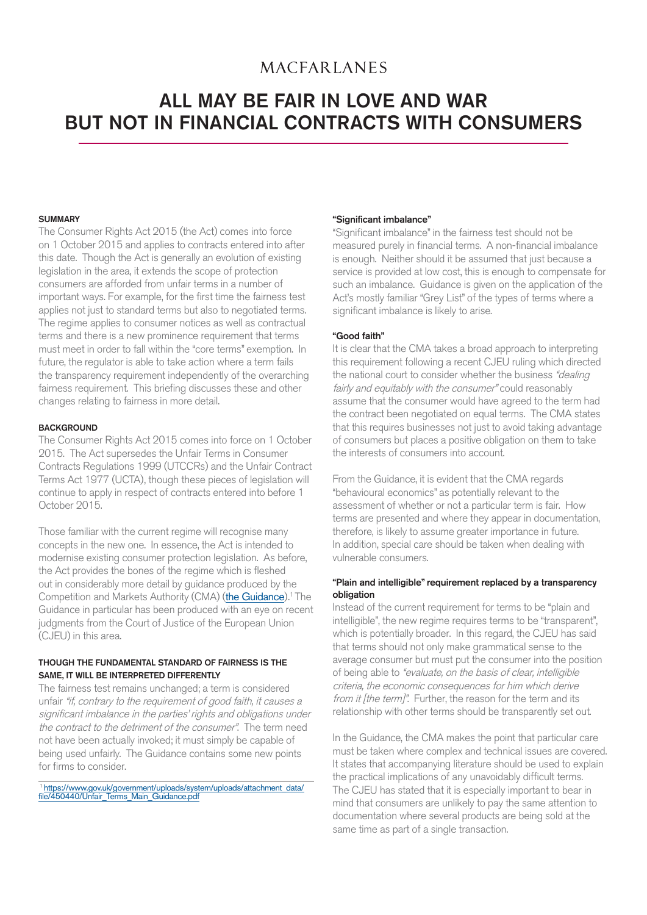# **MACFARLANES**

# ALL MAY BE FAIR IN LOVE AND WAR BUT NOT IN FINANCIAL CONTRACTS WITH CONSUMERS

# **SUMMARY**

The Consumer Rights Act 2015 (the Act) comes into force on 1 October 2015 and applies to contracts entered into after this date. Though the Act is generally an evolution of existing legislation in the area, it extends the scope of protection consumers are afforded from unfair terms in a number of important ways. For example, for the first time the fairness test applies not just to standard terms but also to negotiated terms. The regime applies to consumer notices as well as contractual terms and there is a new prominence requirement that terms must meet in order to fall within the "core terms" exemption. In future, the regulator is able to take action where a term fails the transparency requirement independently of the overarching fairness requirement. This briefing discusses these and other changes relating to fairness in more detail.

# **BACKGROUND**

The Consumer Rights Act 2015 comes into force on 1 October 2015. The Act supersedes the Unfair Terms in Consumer Contracts Regulations 1999 (UTCCRs) and the Unfair Contract Terms Act 1977 (UCTA), though these pieces of legislation will continue to apply in respect of contracts entered into before 1 October 2015.

Those familiar with the current regime will recognise many concepts in the new one. In essence, the Act is intended to modernise existing consumer protection legislation. As before, the Act provides the bones of the regime which is fleshed out in considerably more detail by guidance produced by the Competition and Markets Authority (CMA) (the Guidance).<sup>1</sup> The Guidance in particular has been produced with an eye on recent judgments from the Court of Justice of the European Union (CJEU) in this area.

# THOUGH THE FUNDAMENTAL STANDARD OF FAIRNESS IS THE SAME, IT WILL BE INTERPRETED DIFFERENTLY

The fairness test remains unchanged; a term is considered unfair "if, contrary to the requirement of good faith, it causes a significant imbalance in the parties' rights and obligations under the contract to the detriment of the consumer". The term need not have been actually invoked; it must simply be capable of being used unfairly. The Guidance contains some new points for firms to consider.

1https://www.gov.uk/government/uploads/system/uploads/attachment\_data/ file/450440/Unfair\_Terms\_Main\_Guidance.pdf

# "Significant imbalance"

"Significant imbalance" in the fairness test should not be measured purely in financial terms. A non-financial imbalance is enough. Neither should it be assumed that just because a service is provided at low cost, this is enough to compensate for such an imbalance. Guidance is given on the application of the Act's mostly familiar "Grey List" of the types of terms where a significant imbalance is likely to arise.

# "Good faith"

It is clear that the CMA takes a broad approach to interpreting this requirement following a recent CJEU ruling which directed the national court to consider whether the business "dealing" fairly and equitably with the consumer" could reasonably assume that the consumer would have agreed to the term had the contract been negotiated on equal terms. The CMA states that this requires businesses not just to avoid taking advantage of consumers but places a positive obligation on them to take the interests of consumers into account.

From the Guidance, it is evident that the CMA regards "behavioural economics" as potentially relevant to the assessment of whether or not a particular term is fair. How terms are presented and where they appear in documentation, therefore, is likely to assume greater importance in future. In addition, special care should be taken when dealing with vulnerable consumers.

# "Plain and intelligible" requirement replaced by a transparency obligation

Instead of the current requirement for terms to be "plain and intelligible", the new regime requires terms to be "transparent", which is potentially broader. In this regard, the CJEU has said that terms should not only make grammatical sense to the average consumer but must put the consumer into the position of being able to "evaluate, on the basis of clear, intelligible criteria, the economic consequences for him which derive from it [the term]". Further, the reason for the term and its relationship with other terms should be transparently set out.

In the Guidance, the CMA makes the point that particular care must be taken where complex and technical issues are covered. It states that accompanying literature should be used to explain the practical implications of any unavoidably difficult terms. The CJEU has stated that it is especially important to bear in mind that consumers are unlikely to pay the same attention to documentation where several products are being sold at the same time as part of a single transaction.